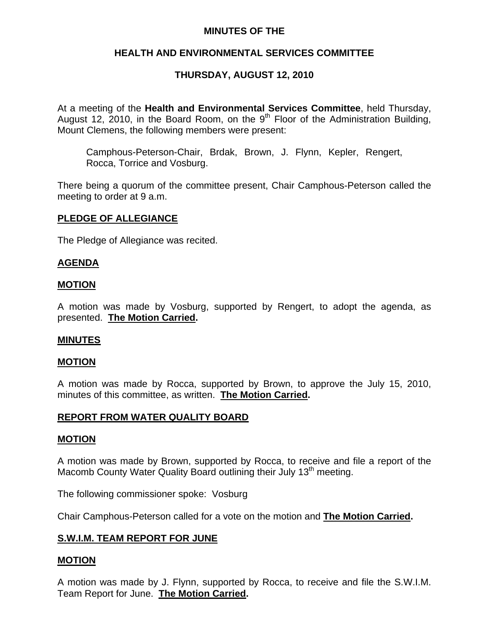## **MINUTES OF THE**

# **HEALTH AND ENVIRONMENTAL SERVICES COMMITTEE**

# **THURSDAY, AUGUST 12, 2010**

At a meeting of the **Health and Environmental Services Committee**, held Thursday, August 12, 2010, in the Board Room, on the  $9<sup>th</sup>$  Floor of the Administration Building, Mount Clemens, the following members were present:

Camphous-Peterson-Chair, Brdak, Brown, J. Flynn, Kepler, Rengert, Rocca, Torrice and Vosburg.

There being a quorum of the committee present, Chair Camphous-Peterson called the meeting to order at 9 a.m.

### **PLEDGE OF ALLEGIANCE**

The Pledge of Allegiance was recited.

### **AGENDA**

### **MOTION**

A motion was made by Vosburg, supported by Rengert, to adopt the agenda, as presented. **The Motion Carried.** 

### **MINUTES**

### **MOTION**

A motion was made by Rocca, supported by Brown, to approve the July 15, 2010, minutes of this committee, as written. **The Motion Carried.** 

### **REPORT FROM WATER QUALITY BOARD**

### **MOTION**

A motion was made by Brown, supported by Rocca, to receive and file a report of the Macomb County Water Quality Board outlining their July 13<sup>th</sup> meeting.

The following commissioner spoke: Vosburg

Chair Camphous-Peterson called for a vote on the motion and **The Motion Carried.** 

# **S.W.I.M. TEAM REPORT FOR JUNE**

# **MOTION**

A motion was made by J. Flynn, supported by Rocca, to receive and file the S.W.I.M. Team Report for June. **The Motion Carried.**